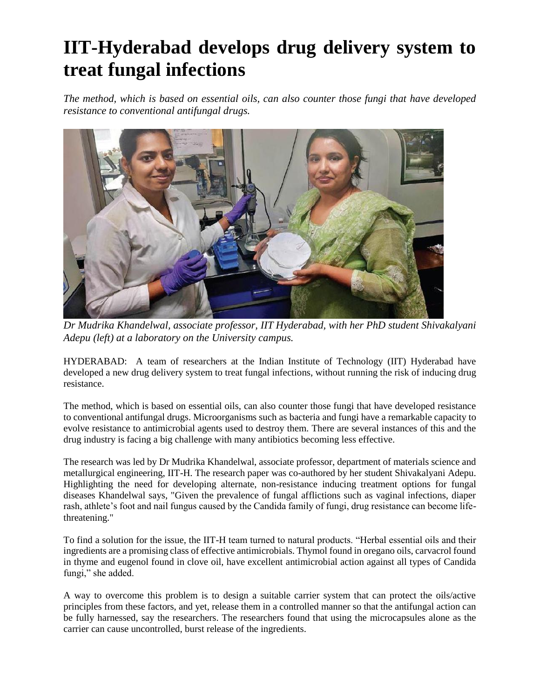## **IIT-Hyderabad develops drug delivery system to treat fungal infections**

*The method, which is based on essential oils, can also counter those fungi that have developed resistance to conventional antifungal drugs.*



*Dr Mudrika Khandelwal, associate professor, IIT Hyderabad, with her PhD student Shivakalyani Adepu (left) at a laboratory on the University campus.*

HYDERABAD: A team of researchers at the Indian Institute of Technology (IIT) Hyderabad have developed a new drug delivery system to treat fungal infections, without running the risk of inducing drug resistance.

The method, which is based on essential oils, can also counter those fungi that have developed resistance to conventional antifungal drugs. Microorganisms such as bacteria and fungi have a remarkable capacity to evolve resistance to antimicrobial agents used to destroy them. There are several instances of this and the drug industry is facing a big challenge with many antibiotics becoming less effective.

The research was led by Dr Mudrika Khandelwal, associate professor, department of materials science and metallurgical engineering, IIT-H. The research paper was co-authored by her student Shivakalyani Adepu. Highlighting the need for developing alternate, non-resistance inducing treatment options for fungal diseases Khandelwal says, "Given the prevalence of fungal afflictions such as vaginal infections, diaper rash, athlete's foot and nail fungus caused by the Candida family of fungi, drug resistance can become lifethreatening."

To find a solution for the issue, the IIT-H team turned to natural products. "Herbal essential oils and their ingredients are a promising class of effective antimicrobials. Thymol found in oregano oils, carvacrol found in thyme and eugenol found in clove oil, have excellent antimicrobial action against all types of Candida fungi," she added.

A way to overcome this problem is to design a suitable carrier system that can protect the oils/active principles from these factors, and yet, release them in a controlled manner so that the antifungal action can be fully harnessed, say the researchers. The researchers found that using the microcapsules alone as the carrier can cause uncontrolled, burst release of the ingredients.